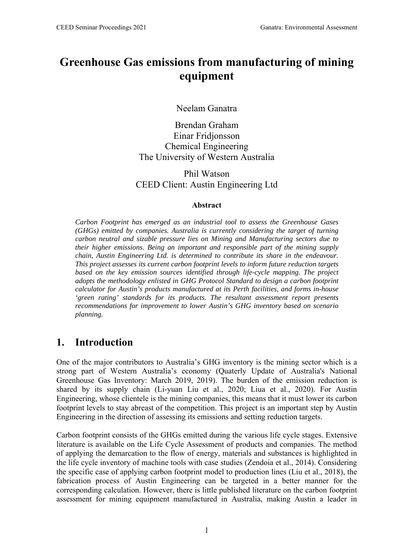# **Greenhouse Gas emissions from manufacturing of mining equipment**

Neelam Ganatra

Brendan Graham Einar Fridjonsson Chemical Engineering The University of Western Australia

Phil Watson CEED Client: Austin Engineering Ltd

#### **Abstract**

*Carbon Footprint has emerged as an industrial tool to assess the Greenhouse Gases (GHGs) emitted by companies. Australia is currently considering the target of turning carbon neutral and sizable pressure lies on Mining and Manufacturing sectors due to their higher emissions. Being an important and responsible part of the mining supply chain, Austin Engineering Ltd. is determined to contribute its share in the endeavour. This project assesses its current carbon footprint levels to inform future reduction targets*  based on the key emission sources identified through life-cycle mapping. The project *adopts the methodology enlisted in GHG Protocol Standard to design a carbon footprint calculator for Austin's products manufactured at its Perth facilities, and forms in-house 'green rating' standards for its products. The resultant assessment report presents recommendations for improvement to lower Austin's GHG inventory based on scenario planning.* 

## **1. Introduction**

One of the major contributors to Australia's GHG inventory is the mining sector which is a strong part of Western Australia's economy (Quaterly Update of Australia's National Greenhouse Gas Inventory: March 2019, 2019). The burden of the emission reduction is shared by its supply chain (Li-yuan Liu et al., 2020; Liua et al., 2020). For Austin Engineering, whose clientele is the mining companies, this means that it must lower its carbon footprint levels to stay abreast of the competition. This project is an important step by Austin Engineering in the direction of assessing its emissions and setting reduction targets.

Carbon footprint consists of the GHGs emitted during the various life cycle stages. Extensive literature is available on the Life Cycle Assessment of products and companies. The method of applying the demarcation to the flow of energy, materials and substances is highlighted in the life cycle inventory of machine tools with case studies (Zendoia et al., 2014). Considering the specific case of applying carbon footprint model to production lines (Liu et al., 2018), the fabrication process of Austin Engineering can be targeted in a better manner for the corresponding calculation. However, there is little published literature on the carbon footprint assessment for mining equipment manufactured in Australia, making Austin a leader in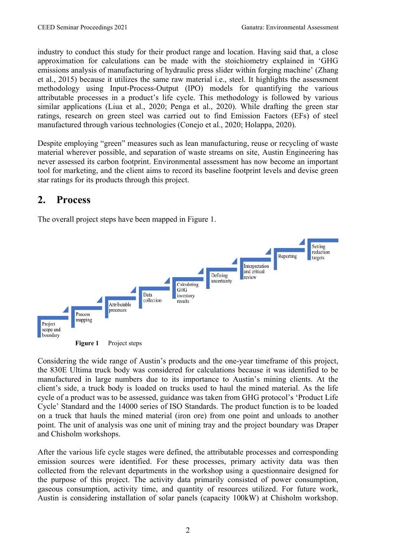industry to conduct this study for their product range and location. Having said that, a close approximation for calculations can be made with the stoichiometry explained in 'GHG emissions analysis of manufacturing of hydraulic press slider within forging machine' (Zhang et al., 2015) because it utilizes the same raw material i.e., steel. It highlights the assessment methodology using Input-Process-Output (IPO) models for quantifying the various attributable processes in a product's life cycle. This methodology is followed by various similar applications (Liua et al., 2020; Penga et al., 2020). While drafting the green star ratings, research on green steel was carried out to find Emission Factors (EFs) of steel manufactured through various technologies (Conejo et al., 2020; Holappa, 2020).

Despite employing "green" measures such as lean manufacturing, reuse or recycling of waste material wherever possible, and separation of waste streams on site, Austin Engineering has never assessed its carbon footprint. Environmental assessment has now become an important tool for marketing, and the client aims to record its baseline footprint levels and devise green star ratings for its products through this project.

# **2. Process**

The overall project steps have been mapped in Figure 1.



Considering the wide range of Austin's products and the one-year timeframe of this project, the 830E Ultima truck body was considered for calculations because it was identified to be manufactured in large numbers due to its importance to Austin's mining clients. At the client's side, a truck body is loaded on trucks used to haul the mined material. As the life cycle of a product was to be assessed, guidance was taken from GHG protocol's 'Product Life Cycle' Standard and the 14000 series of ISO Standards. The product function is to be loaded on a truck that hauls the mined material (iron ore) from one point and unloads to another point. The unit of analysis was one unit of mining tray and the project boundary was Draper and Chisholm workshops.

After the various life cycle stages were defined, the attributable processes and corresponding emission sources were identified. For these processes, primary activity data was then collected from the relevant departments in the workshop using a questionnaire designed for the purpose of this project. The activity data primarily consisted of power consumption, gaseous consumption, activity time, and quantity of resources utilized. For future work, Austin is considering installation of solar panels (capacity 100kW) at Chisholm workshop.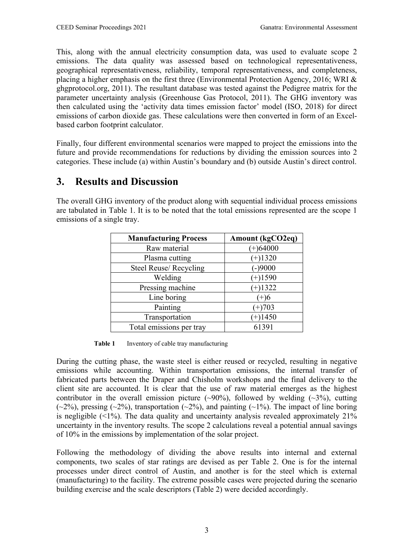This, along with the annual electricity consumption data, was used to evaluate scope 2 emissions. The data quality was assessed based on technological representativeness, geographical representativeness, reliability, temporal representativeness, and completeness, placing a higher emphasis on the first three (Environmental Protection Agency, 2016; WRI & ghgprotocol.org, 2011). The resultant database was tested against the Pedigree matrix for the parameter uncertainty analysis (Greenhouse Gas Protocol, 2011). The GHG inventory was then calculated using the 'activity data times emission factor' model (ISO, 2018) for direct emissions of carbon dioxide gas. These calculations were then converted in form of an Excelbased carbon footprint calculator.

Finally, four different environmental scenarios were mapped to project the emissions into the future and provide recommendations for reductions by dividing the emission sources into 2 categories. These include (a) within Austin's boundary and (b) outside Austin's direct control.

#### **3. Results and Discussion**

The overall GHG inventory of the product along with sequential individual process emissions are tabulated in Table 1. It is to be noted that the total emissions represented are the scope 1 emissions of a single tray.

| <b>Manufacturing Process</b> | <b>Amount (kgCO2eq)</b> |  |
|------------------------------|-------------------------|--|
| Raw material                 | $(+)64000$              |  |
| Plasma cutting               | $(+)1320$               |  |
| Steel Reuse/ Recycling       | $-9000$                 |  |
| Welding                      | $(+)1590$               |  |
| Pressing machine             | $(+)1322$               |  |
| Line boring                  | $(+)6$                  |  |
| Painting                     | $(+)703$                |  |
| Transportation               | $(+)1450$               |  |
| Total emissions per tray     | 61391                   |  |

**Table 1** Inventory of cable tray manufacturing

During the cutting phase, the waste steel is either reused or recycled, resulting in negative emissions while accounting. Within transportation emissions, the internal transfer of fabricated parts between the Draper and Chisholm workshops and the final delivery to the client site are accounted. It is clear that the use of raw material emerges as the highest contributor in the overall emission picture  $(\sim 90\%)$ , followed by welding  $(\sim 3\%)$ , cutting  $(\sim 2\%)$ , pressing  $(\sim 2\%)$ , transportation  $(\sim 2\%)$ , and painting  $(\sim 1\%)$ . The impact of line boring is negligible  $(\leq 1\%)$ . The data quality and uncertainty analysis revealed approximately 21% uncertainty in the inventory results. The scope 2 calculations reveal a potential annual savings of 10% in the emissions by implementation of the solar project.

Following the methodology of dividing the above results into internal and external components, two scales of star ratings are devised as per Table 2. One is for the internal processes under direct control of Austin, and another is for the steel which is external (manufacturing) to the facility. The extreme possible cases were projected during the scenario building exercise and the scale descriptors (Table 2) were decided accordingly.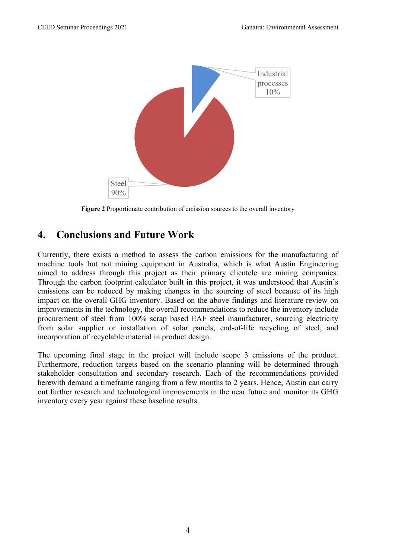

**Figure 2** Proportionate contribution of emission sources to the overall inventory

### **4. Conclusions and Future Work**

Currently, there exists a method to assess the carbon emissions for the manufacturing of machine tools but not mining equipment in Australia, which is what Austin Engineering aimed to address through this project as their primary clientele are mining companies. Through the carbon footprint calculator built in this project, it was understood that Austin's emissions can be reduced by making changes in the sourcing of steel because of its high impact on the overall GHG inventory. Based on the above findings and literature review on improvements in the technology, the overall recommendations to reduce the inventory include procurement of steel from 100% scrap based EAF steel manufacturer, sourcing electricity from solar supplier or installation of solar panels, end-of-life recycling of steel, and incorporation of recyclable material in product design.

The upcoming final stage in the project will include scope 3 emissions of the product. Furthermore, reduction targets based on the scenario planning will be determined through stakeholder consultation and secondary research. Each of the recommendations provided herewith demand a timeframe ranging from a few months to 2 years. Hence, Austin can carry out further research and technological improvements in the near future and monitor its GHG inventory every year against these baseline results.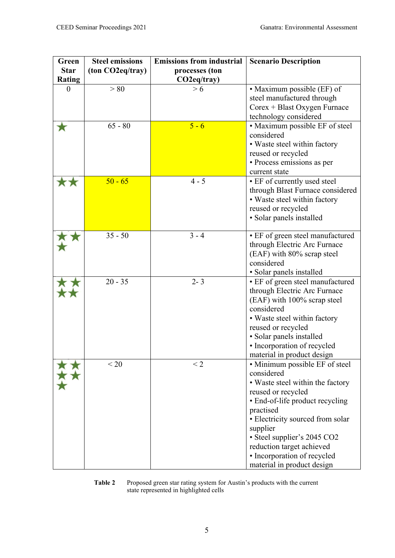| Green         | <b>Steel emissions</b> | <b>Emissions from industrial</b> | <b>Scenario Description</b>      |
|---------------|------------------------|----------------------------------|----------------------------------|
| <b>Star</b>   | (ton CO2eq/tray)       | processes (ton                   |                                  |
| <b>Rating</b> |                        | CO2eq/tray)                      |                                  |
| $\theta$      | > 80                   | > 6                              | • Maximum possible (EF) of       |
|               |                        |                                  | steel manufactured through       |
|               |                        |                                  | $Corex + Blast Oxygen Furnace$   |
|               |                        |                                  | technology considered            |
|               | $65 - 80$              | $5 - 6$                          | • Maximum possible EF of steel   |
|               |                        |                                  | considered                       |
|               |                        |                                  | • Waste steel within factory     |
|               |                        |                                  | reused or recycled               |
|               |                        |                                  | • Process emissions as per       |
|               |                        |                                  | current state                    |
|               | $50 - 65$              | $4 - 5$                          | • EF of currently used steel     |
|               |                        |                                  | through Blast Furnace considered |
|               |                        |                                  | • Waste steel within factory     |
|               |                        |                                  | reused or recycled               |
|               |                        |                                  | · Solar panels installed         |
|               |                        |                                  |                                  |
|               | $35 - 50$              | $3 - 4$                          | • EF of green steel manufactured |
|               |                        |                                  | through Electric Arc Furnace     |
|               |                        |                                  | (EAF) with 80% scrap steel       |
|               |                        |                                  | considered                       |
|               |                        |                                  | · Solar panels installed         |
|               | $20 - 35$              | $2 - 3$                          | • EF of green steel manufactured |
|               |                        |                                  | through Electric Arc Furnace     |
|               |                        |                                  | (EAF) with 100% scrap steel      |
|               |                        |                                  | considered                       |
|               |                        |                                  | • Waste steel within factory     |
|               |                        |                                  | reused or recycled               |
|               |                        |                                  | · Solar panels installed         |
|               |                        |                                  | • Incorporation of recycled      |
|               |                        |                                  | material in product design       |
|               | < 20                   | $\leq$ 2                         | • Minimum possible EF of steel   |
|               |                        |                                  | considered                       |
|               |                        |                                  | • Waste steel within the factory |
|               |                        |                                  | reused or recycled               |
|               |                        |                                  | • End-of-life product recycling  |
|               |                        |                                  | practised                        |
|               |                        |                                  | • Electricity sourced from solar |
|               |                        |                                  | supplier                         |
|               |                        |                                  | · Steel supplier's 2045 CO2      |
|               |                        |                                  | reduction target achieved        |
|               |                        |                                  | • Incorporation of recycled      |
|               |                        |                                  | material in product design       |



**Table 2** Proposed green star rating system for Austin's products with the current state represented in highlighted cells